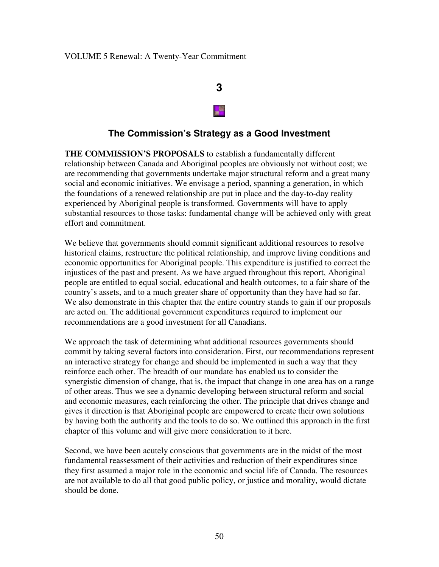# **3** A

#### **The Commission's Strategy as a Good Investment**

**THE COMMISSION'S PROPOSALS** to establish a fundamentally different relationship between Canada and Aboriginal peoples are obviously not without cost; we are recommending that governments undertake major structural reform and a great many social and economic initiatives. We envisage a period, spanning a generation, in which the foundations of a renewed relationship are put in place and the day-to-day reality experienced by Aboriginal people is transformed. Governments will have to apply substantial resources to those tasks: fundamental change will be achieved only with great effort and commitment.

We believe that governments should commit significant additional resources to resolve historical claims, restructure the political relationship, and improve living conditions and economic opportunities for Aboriginal people. This expenditure is justified to correct the injustices of the past and present. As we have argued throughout this report, Aboriginal people are entitled to equal social, educational and health outcomes, to a fair share of the country's assets, and to a much greater share of opportunity than they have had so far. We also demonstrate in this chapter that the entire country stands to gain if our proposals are acted on. The additional government expenditures required to implement our recommendations are a good investment for all Canadians.

We approach the task of determining what additional resources governments should commit by taking several factors into consideration. First, our recommendations represent an interactive strategy for change and should be implemented in such a way that they reinforce each other. The breadth of our mandate has enabled us to consider the synergistic dimension of change, that is, the impact that change in one area has on a range of other areas. Thus we see a dynamic developing between structural reform and social and economic measures, each reinforcing the other. The principle that drives change and gives it direction is that Aboriginal people are empowered to create their own solutions by having both the authority and the tools to do so. We outlined this approach in the first chapter of this volume and will give more consideration to it here.

Second, we have been acutely conscious that governments are in the midst of the most fundamental reassessment of their activities and reduction of their expenditures since they first assumed a major role in the economic and social life of Canada. The resources are not available to do all that good public policy, or justice and morality, would dictate should be done.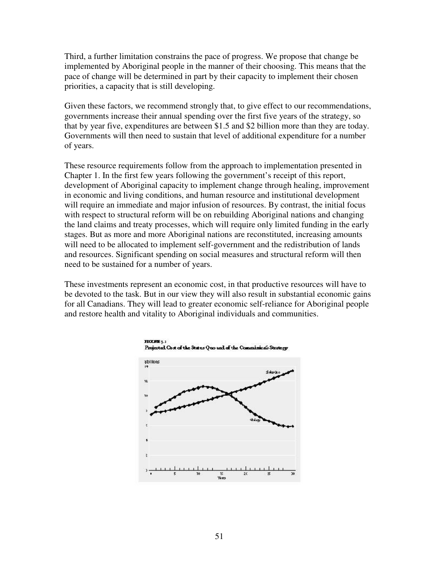Third, a further limitation constrains the pace of progress. We propose that change be implemented by Aboriginal people in the manner of their choosing. This means that the pace of change will be determined in part by their capacity to implement their chosen priorities, a capacity that is still developing.

Given these factors, we recommend strongly that, to give effect to our recommendations, governments increase their annual spending over the first five years of the strategy, so that by year five, expenditures are between \$1.5 and \$2 billion more than they are today. Governments will then need to sustain that level of additional expenditure for a number of years.

These resource requirements follow from the approach to implementation presented in Chapter 1. In the first few years following the government's receipt of this report, development of Aboriginal capacity to implement change through healing, improvement in economic and living conditions, and human resource and institutional development will require an immediate and major infusion of resources. By contrast, the initial focus with respect to structural reform will be on rebuilding Aboriginal nations and changing the land claims and treaty processes, which will require only limited funding in the early stages. But as more and more Aboriginal nations are reconstituted, increasing amounts will need to be allocated to implement self-government and the redistribution of lands and resources. Significant spending on social measures and structural reform will then need to be sustained for a number of years.

These investments represent an economic cost, in that productive resources will have to be devoted to the task. But in our view they will also result in substantial economic gains for all Canadians. They will lead to greater economic self-reliance for Aboriginal people and restore health and vitality to Aboriginal individuals and communities.

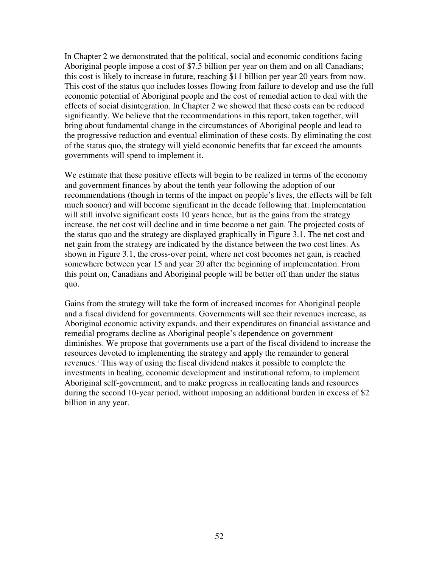In Chapter 2 we demonstrated that the political, social and economic conditions facing Aboriginal people impose a cost of \$7.5 billion per year on them and on all Canadians; this cost is likely to increase in future, reaching \$11 billion per year 20 years from now. This cost of the status quo includes losses flowing from failure to develop and use the full economic potential of Aboriginal people and the cost of remedial action to deal with the effects of social disintegration. In Chapter 2 we showed that these costs can be reduced significantly. We believe that the recommendations in this report, taken together, will bring about fundamental change in the circumstances of Aboriginal people and lead to the progressive reduction and eventual elimination of these costs. By eliminating the cost of the status quo, the strategy will yield economic benefits that far exceed the amounts governments will spend to implement it.

We estimate that these positive effects will begin to be realized in terms of the economy and government finances by about the tenth year following the adoption of our recommendations (though in terms of the impact on people's lives, the effects will be felt much sooner) and will become significant in the decade following that. Implementation will still involve significant costs 10 years hence, but as the gains from the strategy increase, the net cost will decline and in time become a net gain. The projected costs of the status quo and the strategy are displayed graphically in Figure 3.1. The net cost and net gain from the strategy are indicated by the distance between the two cost lines. As shown in Figure 3.1, the cross-over point, where net cost becomes net gain, is reached somewhere between year 15 and year 20 after the beginning of implementation. From this point on, Canadians and Aboriginal people will be better off than under the status quo.

Gains from the strategy will take the form of increased incomes for Aboriginal people and a fiscal dividend for governments. Governments will see their revenues increase, as Aboriginal economic activity expands, and their expenditures on financial assistance and remedial programs decline as Aboriginal people's dependence on government diminishes. We propose that governments use a part of the fiscal dividend to increase the resources devoted to implementing the strategy and apply the remainder to general revenues. <sup>1</sup> This way of using the fiscal dividend makes it possible to complete the investments in healing, economic development and institutional reform, to implement Aboriginal self-government, and to make progress in reallocating lands and resources during the second 10-year period, without imposing an additional burden in excess of \$2 billion in any year.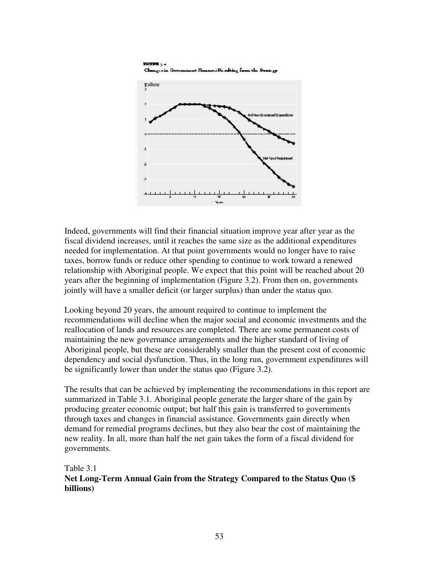

Indeed, governments will find their financial situation improve year after year as the fiscal dividend increases, until it reaches the same size as the additional expenditures needed for implementation. At that point governments would no longer have to raise taxes, borrow funds or reduce other spending to continue to work toward a renewed relationship with Aboriginal people. We expect that this point will be reached about 20 years after the beginning of implementation (Figure 3.2). From then on, governments jointly will have a smaller deficit (or larger surplus) than under the status quo.

Looking beyond 20 years, the amount required to continue to implement the recommendations will decline when the major social and economic investments and the reallocation of lands and resources are completed. There are some permanent costs of maintaining the new governance arrangements and the higher standard of living of Aboriginal people, but these are considerably smaller than the present cost of economic dependency and social dysfunction. Thus, in the long run, government expenditures will be significantly lower than under the status quo (Figure 3.2).

The results that can be achieved by implementing the recommendations in this report are summarized in Table 3.1. Aboriginal people generate the larger share of the gain by producing greater economic output; but half this gain is transferred to governments through taxes and changes in financial assistance. Governments gain directly when demand for remedial programs declines, but they also bear the cost of maintaining the new reality. In all, more than half the net gain takes the form of a fiscal dividend for governments.

#### Table 3.1 **Net Long-Term Annual Gain from the Strategy Compared to the Status Quo (\$ billions)**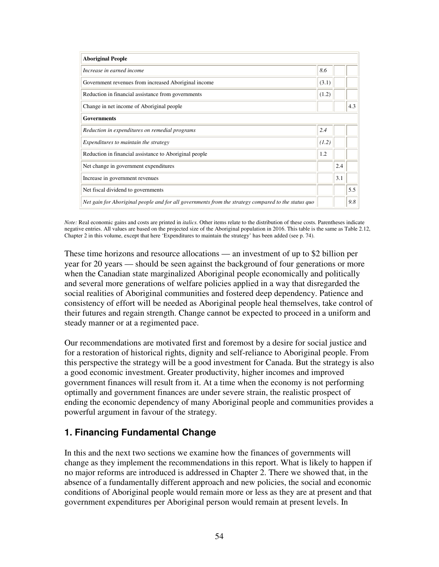| <b>Aboriginal People</b>                                                                            |       |     |     |  |  |  |
|-----------------------------------------------------------------------------------------------------|-------|-----|-----|--|--|--|
| Increase in earned income                                                                           | 8.6   |     |     |  |  |  |
| Government revenues from increased Aboriginal income                                                | (3.1) |     |     |  |  |  |
| Reduction in financial assistance from governments                                                  | (1.2) |     |     |  |  |  |
| Change in net income of Aboriginal people                                                           |       |     | 4.3 |  |  |  |
| <b>Governments</b>                                                                                  |       |     |     |  |  |  |
| Reduction in expenditures on remedial programs                                                      | 2.4   |     |     |  |  |  |
| Expenditures to maintain the strategy                                                               | (1.2) |     |     |  |  |  |
| Reduction in financial assistance to Aboriginal people                                              | 1.2   |     |     |  |  |  |
| Net change in government expenditures                                                               |       | 2.4 |     |  |  |  |
| Increase in government revenues                                                                     |       | 3.1 |     |  |  |  |
| Net fiscal dividend to governments                                                                  |       |     | 5.5 |  |  |  |
| Net gain for Aboriginal people and for all governments from the strategy compared to the status quo |       |     | 9.8 |  |  |  |

*Note:* Real economic gains and costs are printed in *italics.* Other items relate to the distribution of these costs. Parentheses indicate negative entries. All values are based on the projected size of the Aboriginal population in 2016. This table is the same as Table 2.12, Chapter 2 in this volume, except that here 'Expenditures to maintain the strategy' has been added (see p. 74).

These time horizons and resource allocations — an investment of up to \$2 billion per year for 20 years — should be seen against the background of four generations or more when the Canadian state marginalized Aboriginal people economically and politically and several more generations of welfare policies applied in a way that disregarded the social realities of Aboriginal communities and fostered deep dependency. Patience and consistency of effort will be needed as Aboriginal people heal themselves, take control of their futures and regain strength. Change cannot be expected to proceed in a uniform and steady manner or at a regimented pace.

Our recommendations are motivated first and foremost by a desire for social justice and for a restoration of historical rights, dignity and self-reliance to Aboriginal people. From this perspective the strategy will be a good investment for Canada. But the strategy is also a good economic investment. Greater productivity, higher incomes and improved government finances will result from it. At a time when the economy is not performing optimally and government finances are under severe strain, the realistic prospect of ending the economic dependency of many Aboriginal people and communities provides a powerful argument in favour of the strategy.

#### **1. Financing Fundamental Change**

In this and the next two sections we examine how the finances of governments will change as they implement the recommendations in this report. What is likely to happen if no major reforms are introduced is addressed in Chapter 2. There we showed that, in the absence of a fundamentally different approach and new policies, the social and economic conditions of Aboriginal people would remain more or less as they are at present and that government expenditures per Aboriginal person would remain at present levels. In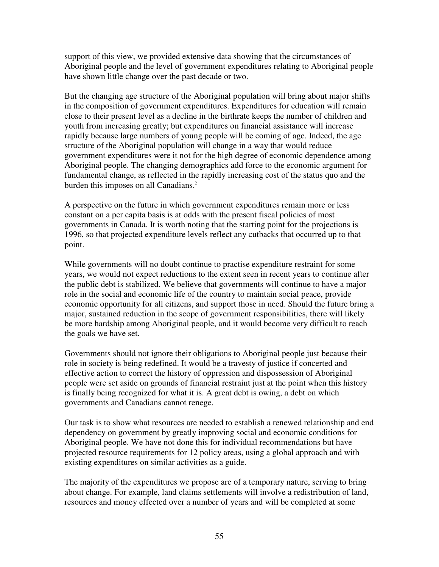support of this view, we provided extensive data showing that the circumstances of Aboriginal people and the level of government expenditures relating to Aboriginal people have shown little change over the past decade or two.

But the changing age structure of the Aboriginal population will bring about major shifts in the composition of government expenditures. Expenditures for education will remain close to their present level as a decline in the birthrate keeps the number of children and youth from increasing greatly; but expenditures on financial assistance will increase rapidly because large numbers of young people will be coming of age. Indeed, the age structure of the Aboriginal population will change in a way that would reduce government expenditures were it not for the high degree of economic dependence among Aboriginal people. The changing demographics add force to the economic argument for fundamental change, as reflected in the rapidly increasing cost of the status quo and the burden this imposes on all Canadians. 2

A perspective on the future in which government expenditures remain more or less constant on a per capita basis is at odds with the present fiscal policies of most governments in Canada. It is worth noting that the starting point for the projections is 1996, so that projected expenditure levels reflect any cutbacks that occurred up to that point.

While governments will no doubt continue to practise expenditure restraint for some years, we would not expect reductions to the extent seen in recent years to continue after the public debt is stabilized. We believe that governments will continue to have a major role in the social and economic life of the country to maintain social peace, provide economic opportunity for all citizens, and support those in need. Should the future bring a major, sustained reduction in the scope of government responsibilities, there will likely be more hardship among Aboriginal people, and it would become very difficult to reach the goals we have set.

Governments should not ignore their obligations to Aboriginal people just because their role in society is being redefined. It would be a travesty of justice if concerted and effective action to correct the history of oppression and dispossession of Aboriginal people were set aside on grounds of financial restraint just at the point when this history is finally being recognized for what it is. A great debt is owing, a debt on which governments and Canadians cannot renege.

Our task is to show what resources are needed to establish a renewed relationship and end dependency on government by greatly improving social and economic conditions for Aboriginal people. We have not done this for individual recommendations but have projected resource requirements for 12 policy areas, using a global approach and with existing expenditures on similar activities as a guide.

The majority of the expenditures we propose are of a temporary nature, serving to bring about change. For example, land claims settlements will involve a redistribution of land, resources and money effected over a number of years and will be completed at some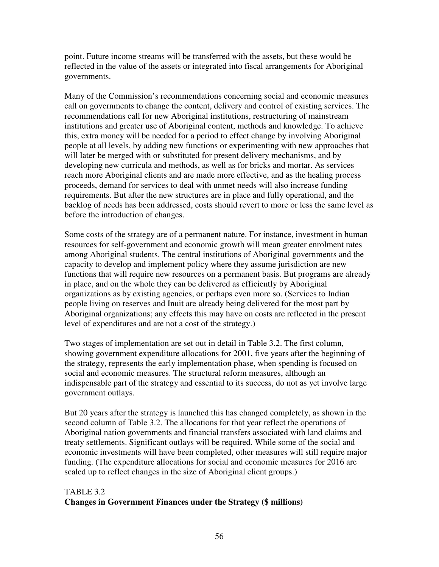point. Future income streams will be transferred with the assets, but these would be reflected in the value of the assets or integrated into fiscal arrangements for Aboriginal governments.

Many of the Commission's recommendations concerning social and economic measures call on governments to change the content, delivery and control of existing services. The recommendations call for new Aboriginal institutions, restructuring of mainstream institutions and greater use of Aboriginal content, methods and knowledge. To achieve this, extra money will be needed for a period to effect change by involving Aboriginal people at all levels, by adding new functions or experimenting with new approaches that will later be merged with or substituted for present delivery mechanisms, and by developing new curricula and methods, as well as for bricks and mortar. As services reach more Aboriginal clients and are made more effective, and as the healing process proceeds, demand for services to deal with unmet needs will also increase funding requirements. But after the new structures are in place and fully operational, and the backlog of needs has been addressed, costs should revert to more or less the same level as before the introduction of changes.

Some costs of the strategy are of a permanent nature. For instance, investment in human resources for self-government and economic growth will mean greater enrolment rates among Aboriginal students. The central institutions of Aboriginal governments and the capacity to develop and implement policy where they assume jurisdiction are new functions that will require new resources on a permanent basis. But programs are already in place, and on the whole they can be delivered as efficiently by Aboriginal organizations as by existing agencies, or perhaps even more so. (Services to Indian people living on reserves and Inuit are already being delivered for the most part by Aboriginal organizations; any effects this may have on costs are reflected in the present level of expenditures and are not a cost of the strategy.)

Two stages of implementation are set out in detail in Table 3.2. The first column, showing government expenditure allocations for 2001, five years after the beginning of the strategy, represents the early implementation phase, when spending is focused on social and economic measures. The structural reform measures, although an indispensable part of the strategy and essential to its success, do not as yet involve large government outlays.

But 20 years after the strategy is launched this has changed completely, as shown in the second column of Table 3.2. The allocations for that year reflect the operations of Aboriginal nation governments and financial transfers associated with land claims and treaty settlements. Significant outlays will be required. While some of the social and economic investments will have been completed, other measures will still require major funding. (The expenditure allocations for social and economic measures for 2016 are scaled up to reflect changes in the size of Aboriginal client groups.)

#### TABLE 3.2 **Changes in Government Finances under the Strategy (\$ millions)**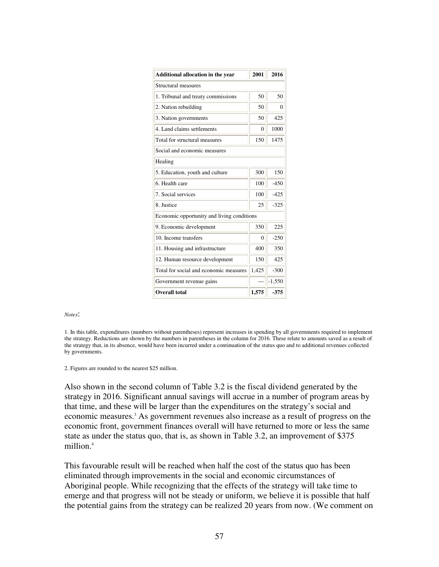| Additional allocation in the year          | 2001     | 2016     |  |  |  |
|--------------------------------------------|----------|----------|--|--|--|
| Structural measures                        |          |          |  |  |  |
| 1. Tribunal and treaty commissions         | 50       | 50       |  |  |  |
| 2. Nation rebuilding                       | 50       | $\theta$ |  |  |  |
| 3. Nation governments                      | 50       | 425      |  |  |  |
| 4. Land claims settlements                 | $\theta$ | 1000     |  |  |  |
| Total for structural measures              | 150      | 1475     |  |  |  |
| Social and economic measures               |          |          |  |  |  |
| Healing                                    |          |          |  |  |  |
| 5. Education, youth and culture            | 300      | 150      |  |  |  |
| 6. Health care                             | 100      | $-450$   |  |  |  |
| 7. Social services                         | 100      | $-425$   |  |  |  |
| 8. Justice                                 | 25       | $-325$   |  |  |  |
| Economic opportunity and living conditions |          |          |  |  |  |
| 9. Economic development                    | 350      | 225      |  |  |  |
| 10. Income transfers                       | $\Omega$ | $-250$   |  |  |  |
| 11. Housing and infrastructure             | 400      | 350      |  |  |  |
| 12. Human resource development             | 150      | 425      |  |  |  |
| Total for social and economic measures     | 1,425    | $-300$   |  |  |  |
| Government revenue gains                   |          | $-1,550$ |  |  |  |
| <b>Overall total</b>                       | 1,575    | $-375$   |  |  |  |

*Notes*:

1. In this table, expenditures (numbers without parentheses) represent increases in spending by all governments required to implement the strategy. Reductions are shown by the numbers in parentheses in the column for 2016. These relate to amounts saved as a result of the strategy that, in its absence, would have been incurred under a continuation of the status quo and to additional revenues collected by governments.

2. Figures are rounded to the nearest \$25 million.

Also shown in the second column of Table 3.2 is the fiscal dividend generated by the strategy in 2016. Significant annual savings will accrue in a number of program areas by that time, and these will be larger than the expenditures on the strategy's social and economic measures. <sup>3</sup> As government revenues also increase as a result of progress on the economic front, government finances overall will have returned to more or less the same state as under the status quo, that is, as shown in Table 3.2, an improvement of \$375 million. 4

This favourable result will be reached when half the cost of the status quo has been eliminated through improvements in the social and economic circumstances of Aboriginal people. While recognizing that the effects of the strategy will take time to emerge and that progress will not be steady or uniform, we believe it is possible that half the potential gains from the strategy can be realized 20 years from now. (We comment on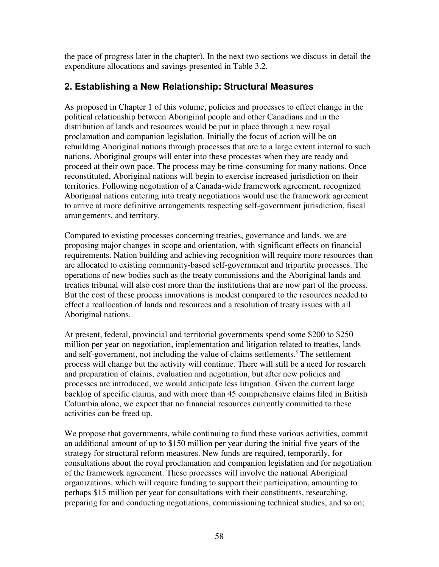the pace of progress later in the chapter). In the next two sections we discuss in detail the expenditure allocations and savings presented in Table 3.2.

#### **2. Establishing a New Relationship: Structural Measures**

As proposed in Chapter 1 of this volume, policies and processes to effect change in the political relationship between Aboriginal people and other Canadians and in the distribution of lands and resources would be put in place through a new royal proclamation and companion legislation. Initially the focus of action will be on rebuilding Aboriginal nations through processes that are to a large extent internal to such nations. Aboriginal groups will enter into these processes when they are ready and proceed at their own pace. The process may be time-consuming for many nations. Once reconstituted, Aboriginal nations will begin to exercise increased jurisdiction on their territories. Following negotiation of a Canada-wide framework agreement, recognized Aboriginal nations entering into treaty negotiations would use the framework agreement to arrive at more definitive arrangements respecting self-government jurisdiction, fiscal arrangements, and territory.

Compared to existing processes concerning treaties, governance and lands, we are proposing major changes in scope and orientation, with significant effects on financial requirements. Nation building and achieving recognition will require more resources than are allocated to existing community-based self-government and tripartite processes. The operations of new bodies such as the treaty commissions and the Aboriginal lands and treaties tribunal will also cost more than the institutions that are now part of the process. But the cost of these process innovations is modest compared to the resources needed to effect a reallocation of lands and resources and a resolution of treaty issues with all Aboriginal nations.

At present, federal, provincial and territorial governments spend some \$200 to \$250 million per year on negotiation, implementation and litigation related to treaties, lands and self-government, not including the value of claims settlements. <sup>5</sup> The settlement process will change but the activity will continue. There will still be a need for research and preparation of claims, evaluation and negotiation, but after new policies and processes are introduced, we would anticipate less litigation. Given the current large backlog of specific claims, and with more than 45 comprehensive claims filed in British Columbia alone, we expect that no financial resources currently committed to these activities can be freed up.

We propose that governments, while continuing to fund these various activities, commit an additional amount of up to \$150 million per year during the initial five years of the strategy for structural reform measures. New funds are required, temporarily, for consultations about the royal proclamation and companion legislation and for negotiation of the framework agreement. These processes will involve the national Aboriginal organizations, which will require funding to support their participation, amounting to perhaps \$15 million per year for consultations with their constituents, researching, preparing for and conducting negotiations, commissioning technical studies, and so on;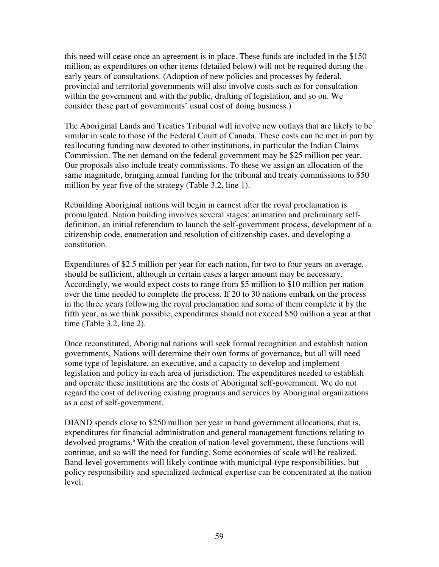this need will cease once an agreement is in place. These funds are included in the \$150 million, as expenditures on other items (detailed below) will not be required during the early years of consultations. (Adoption of new policies and processes by federal, provincial and territorial governments will also involve costs such as for consultation within the government and with the public, drafting of legislation, and so on. We consider these part of governments' usual cost of doing business.)

The Aboriginal Lands and Treaties Tribunal will involve new outlays that are likely to be similar in scale to those of the Federal Court of Canada. These costs can be met in part by reallocating funding now devoted to other institutions, in particular the Indian Claims Commission. The net demand on the federal government may be \$25 million per year. Our proposals also include treaty commissions. To these we assign an allocation of the same magnitude, bringing annual funding for the tribunal and treaty commissions to \$50 million by year five of the strategy (Table 3.2, line 1).

Rebuilding Aboriginal nations will begin in earnest after the royal proclamation is promulgated. Nation building involves several stages: animation and preliminary selfdefinition, an initial referendum to launch the self-government process, development of a citizenship code, enumeration and resolution of citizenship cases, and developing a constitution.

Expenditures of \$2.5 million per year for each nation, for two to four years on average, should be sufficient, although in certain cases a larger amount may be necessary. Accordingly, we would expect costs to range from \$5 million to \$10 million per nation over the time needed to complete the process. If 20 to 30 nations embark on the process in the three years following the royal proclamation and some of them complete it by the fifth year, as we think possible, expenditures should not exceed \$50 million a year at that time (Table 3.2, line 2).

Once reconstituted, Aboriginal nations will seek formal recognition and establish nation governments. Nations will determine their own forms of governance, but all will need some type of legislature, an executive, and a capacity to develop and implement legislation and policy in each area of jurisdiction. The expenditures needed to establish and operate these institutions are the costs of Aboriginal self-government. We do not regard the cost of delivering existing programs and services by Aboriginal organizations as a cost of self-government.

DIAND spends close to \$250 million per year in band government allocations, that is, expenditures for financial administration and general management functions relating to devolved programs. <sup>6</sup> With the creation of nation-level government, these functions will continue, and so will the need for funding. Some economies of scale will be realized. Band-level governments will likely continue with municipal-type responsibilities, but policy responsibility and specialized technical expertise can be concentrated at the nation level.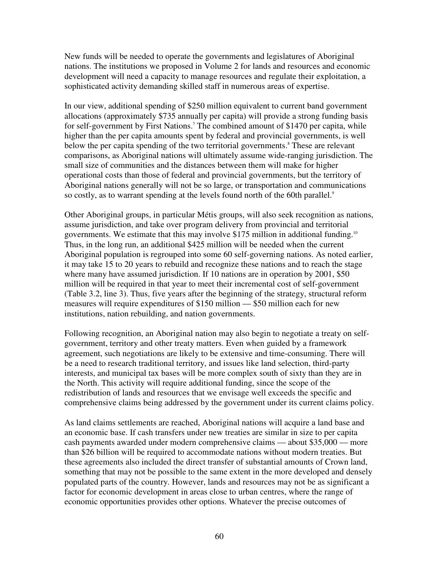New funds will be needed to operate the governments and legislatures of Aboriginal nations. The institutions we proposed in Volume 2 for lands and resources and economic development will need a capacity to manage resources and regulate their exploitation, a sophisticated activity demanding skilled staff in numerous areas of expertise.

In our view, additional spending of \$250 million equivalent to current band government allocations (approximately \$735 annually per capita) will provide a strong funding basis for self-government by First Nations. <sup>7</sup> The combined amount of \$1470 per capita, while higher than the per capita amounts spent by federal and provincial governments, is well below the per capita spending of the two territorial governments. <sup>8</sup> These are relevant comparisons, as Aboriginal nations will ultimately assume wide-ranging jurisdiction. The small size of communities and the distances between them will make for higher operational costs than those of federal and provincial governments, but the territory of Aboriginal nations generally will not be so large, or transportation and communications so costly, as to warrant spending at the levels found north of the 60th parallel.<sup>9</sup>

Other Aboriginal groups, in particular Métis groups, will also seek recognition as nations, assume jurisdiction, and take over program delivery from provincial and territorial governments. We estimate that this may involve \$175 million in additional funding.<sup>10</sup> Thus, in the long run, an additional \$425 million will be needed when the current Aboriginal population is regrouped into some 60 self-governing nations. As noted earlier, it may take 15 to 20 years to rebuild and recognize these nations and to reach the stage where many have assumed jurisdiction. If 10 nations are in operation by 2001, \$50 million will be required in that year to meet their incremental cost of self-government (Table 3.2, line 3). Thus, five years after the beginning of the strategy, structural reform measures will require expenditures of \$150 million — \$50 million each for new institutions, nation rebuilding, and nation governments.

Following recognition, an Aboriginal nation may also begin to negotiate a treaty on selfgovernment, territory and other treaty matters. Even when guided by a framework agreement, such negotiations are likely to be extensive and time-consuming. There will be a need to research traditional territory, and issues like land selection, third-party interests, and municipal tax bases will be more complex south of sixty than they are in the North. This activity will require additional funding, since the scope of the redistribution of lands and resources that we envisage well exceeds the specific and comprehensive claims being addressed by the government under its current claims policy.

As land claims settlements are reached, Aboriginal nations will acquire a land base and an economic base. If cash transfers under new treaties are similar in size to per capita cash payments awarded under modern comprehensive claims — about \$35,000 — more than \$26 billion will be required to accommodate nations without modern treaties. But these agreements also included the direct transfer of substantial amounts of Crown land, something that may not be possible to the same extent in the more developed and densely populated parts of the country. However, lands and resources may not be as significant a factor for economic development in areas close to urban centres, where the range of economic opportunities provides other options. Whatever the precise outcomes of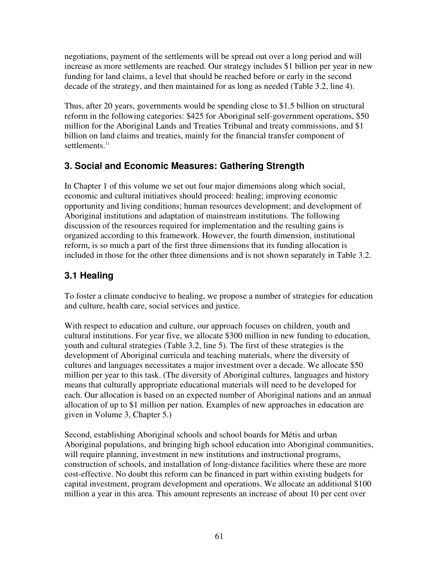negotiations, payment of the settlements will be spread out over a long period and will increase as more settlements are reached. Our strategy includes \$1 billion per year in new funding for land claims, a level that should be reached before or early in the second decade of the strategy, and then maintained for as long as needed (Table 3.2, line 4).

Thus, after 20 years, governments would be spending close to \$1.5 billion on structural reform in the following categories: \$425 for Aboriginal self-government operations, \$50 million for the Aboriginal Lands and Treaties Tribunal and treaty commissions, and \$1 billion on land claims and treaties, mainly for the financial transfer component of settlements.<sup>11</sup>

### **3. Social and Economic Measures: Gathering Strength**

In Chapter 1 of this volume we set out four major dimensions along which social, economic and cultural initiatives should proceed: healing; improving economic opportunity and living conditions; human resources development; and development of Aboriginal institutions and adaptation of mainstream institutions. The following discussion of the resources required for implementation and the resulting gains is organized according to this framework. However, the fourth dimension, institutional reform, is so much a part of the first three dimensions that its funding allocation is included in those for the other three dimensions and is not shown separately in Table 3.2.

# **3.1 Healing**

To foster a climate conducive to healing, we propose a number of strategies for education and culture, health care, social services and justice.

With respect to education and culture, our approach focuses on children, youth and cultural institutions. For year five, we allocate \$300 million in new funding to education, youth and cultural strategies (Table 3.2, line 5). The first of these strategies is the development of Aboriginal curricula and teaching materials, where the diversity of cultures and languages necessitates a major investment over a decade. We allocate \$50 million per year to this task. (The diversity of Aboriginal cultures, languages and history means that culturally appropriate educational materials will need to be developed for each. Our allocation is based on an expected number of Aboriginal nations and an annual allocation of up to \$1 million per nation. Examples of new approaches in education are given in Volume 3, Chapter 5.)

Second, establishing Aboriginal schools and school boards for Métis and urban Aboriginal populations, and bringing high school education into Aboriginal communities, will require planning, investment in new institutions and instructional programs, construction of schools, and installation of long-distance facilities where these are more cost-effective. No doubt this reform can be financed in part within existing budgets for capital investment, program development and operations. We allocate an additional \$100 million a year in this area. This amount represents an increase of about 10 per cent over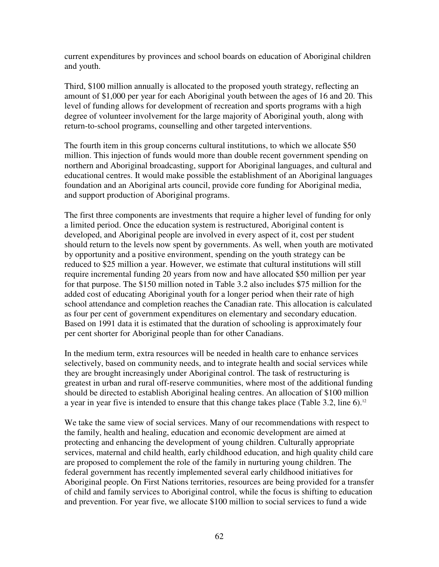current expenditures by provinces and school boards on education of Aboriginal children and youth.

Third, \$100 million annually is allocated to the proposed youth strategy, reflecting an amount of \$1,000 per year for each Aboriginal youth between the ages of 16 and 20. This level of funding allows for development of recreation and sports programs with a high degree of volunteer involvement for the large majority of Aboriginal youth, along with return-to-school programs, counselling and other targeted interventions.

The fourth item in this group concerns cultural institutions, to which we allocate \$50 million. This injection of funds would more than double recent government spending on northern and Aboriginal broadcasting, support for Aboriginal languages, and cultural and educational centres. It would make possible the establishment of an Aboriginal languages foundation and an Aboriginal arts council, provide core funding for Aboriginal media, and support production of Aboriginal programs.

The first three components are investments that require a higher level of funding for only a limited period. Once the education system is restructured, Aboriginal content is developed, and Aboriginal people are involved in every aspect of it, cost per student should return to the levels now spent by governments. As well, when youth are motivated by opportunity and a positive environment, spending on the youth strategy can be reduced to \$25 million a year. However, we estimate that cultural institutions will still require incremental funding 20 years from now and have allocated \$50 million per year for that purpose. The \$150 million noted in Table 3.2 also includes \$75 million for the added cost of educating Aboriginal youth for a longer period when their rate of high school attendance and completion reaches the Canadian rate. This allocation is calculated as four per cent of government expenditures on elementary and secondary education. Based on 1991 data it is estimated that the duration of schooling is approximately four per cent shorter for Aboriginal people than for other Canadians.

In the medium term, extra resources will be needed in health care to enhance services selectively, based on community needs, and to integrate health and social services while they are brought increasingly under Aboriginal control. The task of restructuring is greatest in urban and rural off-reserve communities, where most of the additional funding should be directed to establish Aboriginal healing centres. An allocation of \$100 million a year in year five is intended to ensure that this change takes place (Table 3.2, line 6).<sup>12</sup>

We take the same view of social services. Many of our recommendations with respect to the family, health and healing, education and economic development are aimed at protecting and enhancing the development of young children. Culturally appropriate services, maternal and child health, early childhood education, and high quality child care are proposed to complement the role of the family in nurturing young children. The federal government has recently implemented several early childhood initiatives for Aboriginal people. On First Nations territories, resources are being provided for a transfer of child and family services to Aboriginal control, while the focus is shifting to education and prevention. For year five, we allocate \$100 million to social services to fund a wide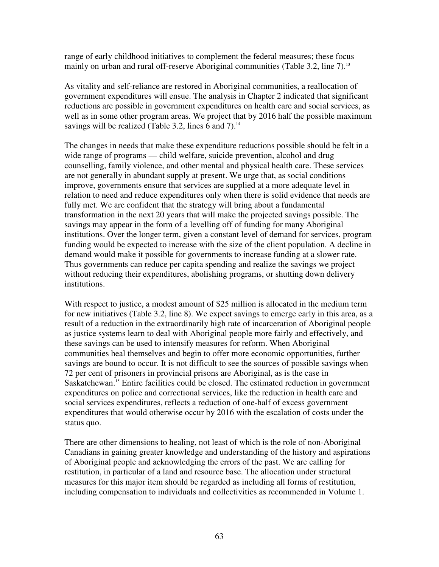range of early childhood initiatives to complement the federal measures; these focus mainly on urban and rural off-reserve Aboriginal communities (Table 3.2, line 7).<sup>13</sup>

As vitality and self-reliance are restored in Aboriginal communities, a reallocation of government expenditures will ensue. The analysis in Chapter 2 indicated that significant reductions are possible in government expenditures on health care and social services, as well as in some other program areas. We project that by 2016 half the possible maximum savings will be realized (Table 3.2, lines 6 and 7).<sup>14</sup>

The changes in needs that make these expenditure reductions possible should be felt in a wide range of programs — child welfare, suicide prevention, alcohol and drug counselling, family violence, and other mental and physical health care. These services are not generally in abundant supply at present. We urge that, as social conditions improve, governments ensure that services are supplied at a more adequate level in relation to need and reduce expenditures only when there is solid evidence that needs are fully met. We are confident that the strategy will bring about a fundamental transformation in the next 20 years that will make the projected savings possible. The savings may appear in the form of a levelling off of funding for many Aboriginal institutions. Over the longer term, given a constant level of demand for services, program funding would be expected to increase with the size of the client population. A decline in demand would make it possible for governments to increase funding at a slower rate. Thus governments can reduce per capita spending and realize the savings we project without reducing their expenditures, abolishing programs, or shutting down delivery institutions.

With respect to justice, a modest amount of \$25 million is allocated in the medium term for new initiatives (Table 3.2, line 8). We expect savings to emerge early in this area, as a result of a reduction in the extraordinarily high rate of incarceration of Aboriginal people as justice systems learn to deal with Aboriginal people more fairly and effectively, and these savings can be used to intensify measures for reform. When Aboriginal communities heal themselves and begin to offer more economic opportunities, further savings are bound to occur. It is not difficult to see the sources of possible savings when 72 per cent of prisoners in provincial prisons are Aboriginal, as is the case in Saskatchewan. <sup>15</sup> Entire facilities could be closed. The estimated reduction in government expenditures on police and correctional services, like the reduction in health care and social services expenditures, reflects a reduction of one-half of excess government expenditures that would otherwise occur by 2016 with the escalation of costs under the status quo.

There are other dimensions to healing, not least of which is the role of non-Aboriginal Canadians in gaining greater knowledge and understanding of the history and aspirations of Aboriginal people and acknowledging the errors of the past. We are calling for restitution, in particular of a land and resource base. The allocation under structural measures for this major item should be regarded as including all forms of restitution, including compensation to individuals and collectivities as recommended in Volume 1.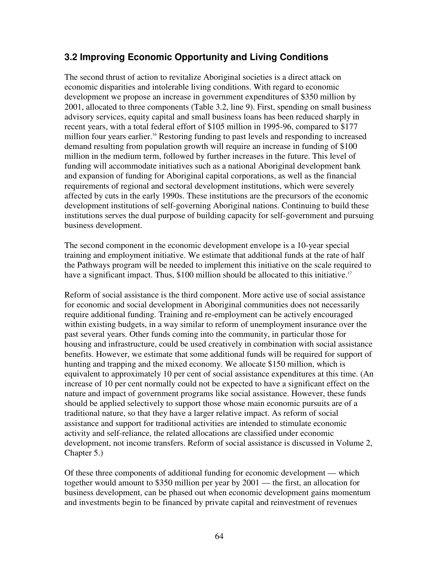#### **3.2 Improving Economic Opportunity and Living Conditions**

The second thrust of action to revitalize Aboriginal societies is a direct attack on economic disparities and intolerable living conditions. With regard to economic development we propose an increase in government expenditures of \$350 million by 2001, allocated to three components (Table 3.2, line 9). First, spending on small business advisory services, equity capital and small business loans has been reduced sharply in recent years, with a total federal effort of \$105 million in 1995-96, compared to \$177 million four years earlier. <sup>16</sup> Restoring funding to past levels and responding to increased demand resulting from population growth will require an increase in funding of \$100 million in the medium term, followed by further increases in the future. This level of funding will accommodate initiatives such as a national Aboriginal development bank and expansion of funding for Aboriginal capital corporations, as well as the financial requirements of regional and sectoral development institutions, which were severely affected by cuts in the early 1990s. These institutions are the precursors of the economic development institutions of self-governing Aboriginal nations. Continuing to build these institutions serves the dual purpose of building capacity for self-government and pursuing business development.

The second component in the economic development envelope is a 10-year special training and employment initiative. We estimate that additional funds at the rate of half the Pathways program will be needed to implement this initiative on the scale required to have a significant impact. Thus, \$100 million should be allocated to this initiative.<sup>17</sup>

Reform of social assistance is the third component. More active use of social assistance for economic and social development in Aboriginal communities does not necessarily require additional funding. Training and re-employment can be actively encouraged within existing budgets, in a way similar to reform of unemployment insurance over the past several years. Other funds coming into the community, in particular those for housing and infrastructure, could be used creatively in combination with social assistance benefits. However, we estimate that some additional funds will be required for support of hunting and trapping and the mixed economy. We allocate \$150 million, which is equivalent to approximately 10 per cent of social assistance expenditures at this time. (An increase of 10 per cent normally could not be expected to have a significant effect on the nature and impact of government programs like social assistance. However, these funds should be applied selectively to support those whose main economic pursuits are of a traditional nature, so that they have a larger relative impact. As reform of social assistance and support for traditional activities are intended to stimulate economic activity and self-reliance, the related allocations are classified under economic development, not income transfers. Reform of social assistance is discussed in Volume 2, Chapter 5.)

Of these three components of additional funding for economic development — which together would amount to \$350 million per year by 2001 — the first, an allocation for business development, can be phased out when economic development gains momentum and investments begin to be financed by private capital and reinvestment of revenues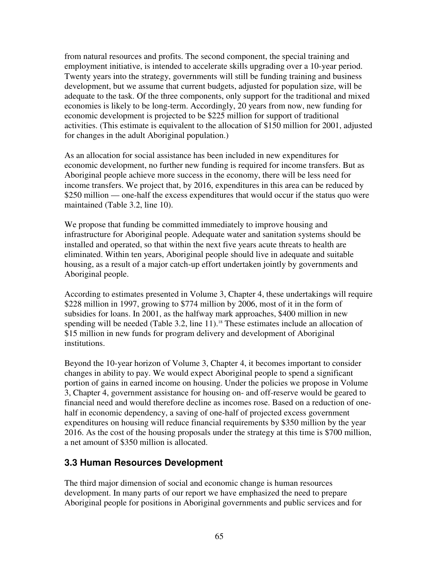from natural resources and profits. The second component, the special training and employment initiative, is intended to accelerate skills upgrading over a 10-year period. Twenty years into the strategy, governments will still be funding training and business development, but we assume that current budgets, adjusted for population size, will be adequate to the task. Of the three components, only support for the traditional and mixed economies is likely to be long-term. Accordingly, 20 years from now, new funding for economic development is projected to be \$225 million for support of traditional activities. (This estimate is equivalent to the allocation of \$150 million for 2001, adjusted for changes in the adult Aboriginal population.)

As an allocation for social assistance has been included in new expenditures for economic development, no further new funding is required for income transfers. But as Aboriginal people achieve more success in the economy, there will be less need for income transfers. We project that, by 2016, expenditures in this area can be reduced by \$250 million — one-half the excess expenditures that would occur if the status quo were maintained (Table 3.2, line 10).

We propose that funding be committed immediately to improve housing and infrastructure for Aboriginal people. Adequate water and sanitation systems should be installed and operated, so that within the next five years acute threats to health are eliminated. Within ten years, Aboriginal people should live in adequate and suitable housing, as a result of a major catch-up effort undertaken jointly by governments and Aboriginal people.

According to estimates presented in Volume 3, Chapter 4, these undertakings will require \$228 million in 1997, growing to \$774 million by 2006, most of it in the form of subsidies for loans. In 2001, as the halfway mark approaches, \$400 million in new spending will be needed (Table 3.2, line 11). <sup>18</sup> These estimates include an allocation of \$15 million in new funds for program delivery and development of Aboriginal institutions.

Beyond the 10-year horizon of Volume 3, Chapter 4, it becomes important to consider changes in ability to pay. We would expect Aboriginal people to spend a significant portion of gains in earned income on housing. Under the policies we propose in Volume 3, Chapter 4, government assistance for housing on- and off-reserve would be geared to financial need and would therefore decline as incomes rose. Based on a reduction of onehalf in economic dependency, a saving of one-half of projected excess government expenditures on housing will reduce financial requirements by \$350 million by the year 2016. As the cost of the housing proposals under the strategy at this time is \$700 million, a net amount of \$350 million is allocated.

#### **3.3 Human Resources Development**

The third major dimension of social and economic change is human resources development. In many parts of our report we have emphasized the need to prepare Aboriginal people for positions in Aboriginal governments and public services and for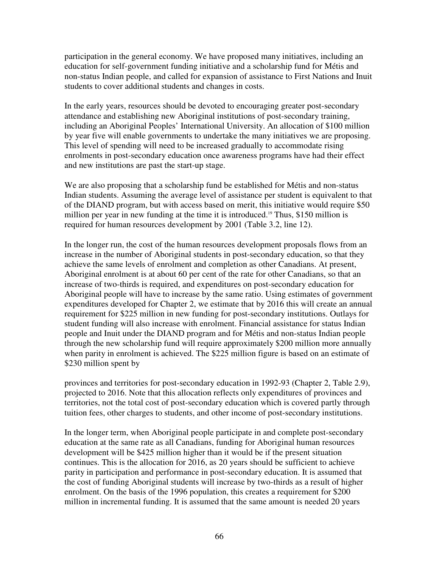participation in the general economy. We have proposed many initiatives, including an education for self-government funding initiative and a scholarship fund for Métis and non-status Indian people, and called for expansion of assistance to First Nations and Inuit students to cover additional students and changes in costs.

In the early years, resources should be devoted to encouraging greater post-secondary attendance and establishing new Aboriginal institutions of post-secondary training, including an Aboriginal Peoples' International University. An allocation of \$100 million by year five will enable governments to undertake the many initiatives we are proposing. This level of spending will need to be increased gradually to accommodate rising enrolments in post-secondary education once awareness programs have had their effect and new institutions are past the start-up stage.

We are also proposing that a scholarship fund be established for Métis and non-status Indian students. Assuming the average level of assistance per student is equivalent to that of the DIAND program, but with access based on merit, this initiative would require \$50 million per year in new funding at the time it is introduced. <sup>19</sup> Thus, \$150 million is required for human resources development by 2001 (Table 3.2, line 12).

In the longer run, the cost of the human resources development proposals flows from an increase in the number of Aboriginal students in post-secondary education, so that they achieve the same levels of enrolment and completion as other Canadians. At present, Aboriginal enrolment is at about 60 per cent of the rate for other Canadians, so that an increase of two-thirds is required, and expenditures on post-secondary education for Aboriginal people will have to increase by the same ratio. Using estimates of government expenditures developed for Chapter 2, we estimate that by 2016 this will create an annual requirement for \$225 million in new funding for post-secondary institutions. Outlays for student funding will also increase with enrolment. Financial assistance for status Indian people and Inuit under the DIAND program and for Métis and non-status Indian people through the new scholarship fund will require approximately \$200 million more annually when parity in enrolment is achieved. The \$225 million figure is based on an estimate of \$230 million spent by

provinces and territories for post-secondary education in 1992-93 (Chapter 2, Table 2.9), projected to 2016. Note that this allocation reflects only expenditures of provinces and territories, not the total cost of post-secondary education which is covered partly through tuition fees, other charges to students, and other income of post-secondary institutions.

In the longer term, when Aboriginal people participate in and complete post-secondary education at the same rate as all Canadians, funding for Aboriginal human resources development will be \$425 million higher than it would be if the present situation continues. This is the allocation for 2016, as 20 years should be sufficient to achieve parity in participation and performance in post-secondary education. It is assumed that the cost of funding Aboriginal students will increase by two-thirds as a result of higher enrolment. On the basis of the 1996 population, this creates a requirement for \$200 million in incremental funding. It is assumed that the same amount is needed 20 years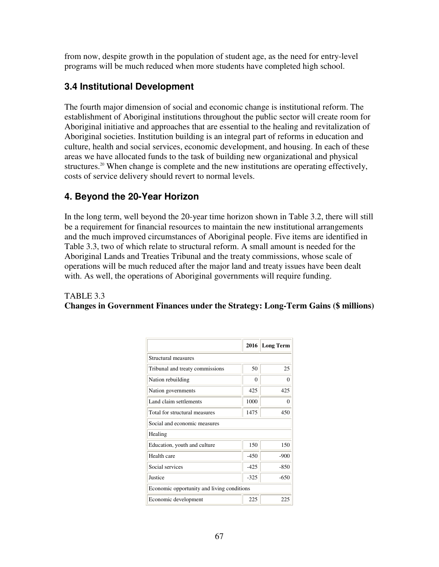from now, despite growth in the population of student age, as the need for entry-level programs will be much reduced when more students have completed high school.

### **3.4 Institutional Development**

The fourth major dimension of social and economic change is institutional reform. The establishment of Aboriginal institutions throughout the public sector will create room for Aboriginal initiative and approaches that are essential to the healing and revitalization of Aboriginal societies. Institution building is an integral part of reforms in education and culture, health and social services, economic development, and housing. In each of these areas we have allocated funds to the task of building new organizational and physical structures.<sup>20</sup> When change is complete and the new institutions are operating effectively, costs of service delivery should revert to normal levels.

## **4. Beyond the 20-Year Horizon**

In the long term, well beyond the 20-year time horizon shown in Table 3.2, there will still be a requirement for financial resources to maintain the new institutional arrangements and the much improved circumstances of Aboriginal people. Five items are identified in Table 3.3, two of which relate to structural reform. A small amount is needed for the Aboriginal Lands and Treaties Tribunal and the treaty commissions, whose scale of operations will be much reduced after the major land and treaty issues have been dealt with. As well, the operations of Aboriginal governments will require funding.

#### TABLE 3.3 **Changes in Government Finances under the Strategy: Long-Term Gains (\$ millions)**

|                                            | 2016     | <b>Long Term</b> |  |  |  |  |
|--------------------------------------------|----------|------------------|--|--|--|--|
| Structural measures                        |          |                  |  |  |  |  |
| Tribunal and treaty commissions            | 50       | 25               |  |  |  |  |
| Nation rebuilding                          | $\Omega$ | $\Omega$         |  |  |  |  |
| Nation governments                         | 425      | 425              |  |  |  |  |
| Land claim settlements                     | 1000     | 0                |  |  |  |  |
| Total for structural measures              | 1475     | 450              |  |  |  |  |
| Social and economic measures               |          |                  |  |  |  |  |
| Healing                                    |          |                  |  |  |  |  |
| Education, youth and culture               | 150      | 150              |  |  |  |  |
| Health care                                | $-450$   | $-900$           |  |  |  |  |
| Social services                            | $-425$   | $-850$           |  |  |  |  |
| Justice                                    | $-325$   | $-650$           |  |  |  |  |
| Economic opportunity and living conditions |          |                  |  |  |  |  |
| Economic development                       | 225      | 225              |  |  |  |  |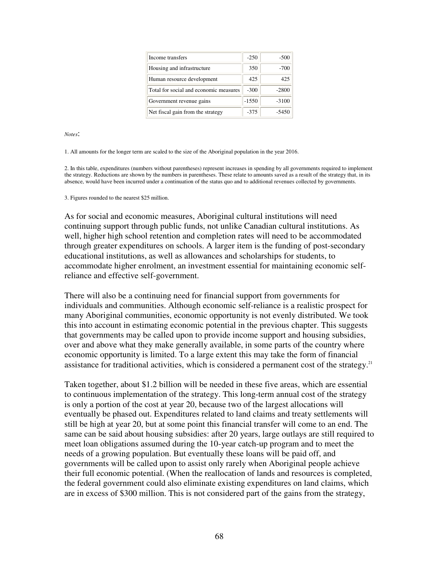| Income transfers                       | $-250$  | $-500$  |
|----------------------------------------|---------|---------|
| Housing and infrastructure             | 350     | $-700$  |
| Human resource development             | 425     | 425     |
| Total for social and economic measures | $-300$  | $-2800$ |
| Government revenue gains               | $-1550$ | $-3100$ |
| Net fiscal gain from the strategy      | $-375$  | $-5450$ |

*Notes*:

1. All amounts for the longer term are scaled to the size of the Aboriginal population in the year 2016.

2. In this table, expenditures (numbers without parentheses) represent increases in spending by all governments required to implement the strategy. Reductions are shown by the numbers in parentheses. These relate to amounts saved as a result of the strategy that, in its absence, would have been incurred under a continuation of the status quo and to additional revenues collected by governments.

3. Figures rounded to the nearest \$25 million.

As for social and economic measures, Aboriginal cultural institutions will need continuing support through public funds, not unlike Canadian cultural institutions. As well, higher high school retention and completion rates will need to be accommodated through greater expenditures on schools. A larger item is the funding of post-secondary educational institutions, as well as allowances and scholarships for students, to accommodate higher enrolment, an investment essential for maintaining economic selfreliance and effective self-government.

There will also be a continuing need for financial support from governments for individuals and communities. Although economic self-reliance is a realistic prospect for many Aboriginal communities, economic opportunity is not evenly distributed. We took this into account in estimating economic potential in the previous chapter. This suggests that governments may be called upon to provide income support and housing subsidies, over and above what they make generally available, in some parts of the country where economic opportunity is limited. To a large extent this may take the form of financial assistance for traditional activities, which is considered a permanent cost of the strategy.<sup>21</sup>

Taken together, about \$1.2 billion will be needed in these five areas, which are essential to continuous implementation of the strategy. This long-term annual cost of the strategy is only a portion of the cost at year 20, because two of the largest allocations will eventually be phased out. Expenditures related to land claims and treaty settlements will still be high at year 20, but at some point this financial transfer will come to an end. The same can be said about housing subsidies: after 20 years, large outlays are still required to meet loan obligations assumed during the 10-year catch-up program and to meet the needs of a growing population. But eventually these loans will be paid off, and governments will be called upon to assist only rarely when Aboriginal people achieve their full economic potential. (When the reallocation of lands and resources is completed, the federal government could also eliminate existing expenditures on land claims, which are in excess of \$300 million. This is not considered part of the gains from the strategy,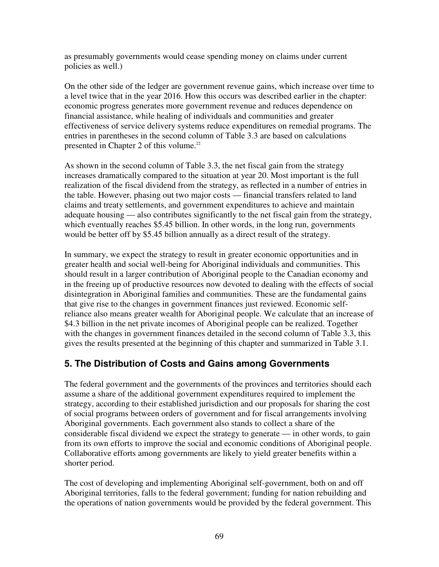as presumably governments would cease spending money on claims under current policies as well.)

On the other side of the ledger are government revenue gains, which increase over time to a level twice that in the year 2016. How this occurs was described earlier in the chapter: economic progress generates more government revenue and reduces dependence on financial assistance, while healing of individuals and communities and greater effectiveness of service delivery systems reduce expenditures on remedial programs. The entries in parentheses in the second column of Table 3.3 are based on calculations presented in Chapter 2 of this volume.<sup>22</sup>

As shown in the second column of Table 3.3, the net fiscal gain from the strategy increases dramatically compared to the situation at year 20. Most important is the full realization of the fiscal dividend from the strategy, as reflected in a number of entries in the table. However, phasing out two major costs — financial transfers related to land claims and treaty settlements, and government expenditures to achieve and maintain adequate housing — also contributes significantly to the net fiscal gain from the strategy, which eventually reaches \$5.45 billion. In other words, in the long run, governments would be better off by \$5.45 billion annually as a direct result of the strategy.

In summary, we expect the strategy to result in greater economic opportunities and in greater health and social well-being for Aboriginal individuals and communities. This should result in a larger contribution of Aboriginal people to the Canadian economy and in the freeing up of productive resources now devoted to dealing with the effects of social disintegration in Aboriginal families and communities. These are the fundamental gains that give rise to the changes in government finances just reviewed. Economic selfreliance also means greater wealth for Aboriginal people. We calculate that an increase of \$4.3 billion in the net private incomes of Aboriginal people can be realized. Together with the changes in government finances detailed in the second column of Table 3.3, this gives the results presented at the beginning of this chapter and summarized in Table 3.1.

# **5. The Distribution of Costs and Gains among Governments**

The federal government and the governments of the provinces and territories should each assume a share of the additional government expenditures required to implement the strategy, according to their established jurisdiction and our proposals for sharing the cost of social programs between orders of government and for fiscal arrangements involving Aboriginal governments. Each government also stands to collect a share of the considerable fiscal dividend we expect the strategy to generate — in other words, to gain from its own efforts to improve the social and economic conditions of Aboriginal people. Collaborative efforts among governments are likely to yield greater benefits within a shorter period.

The cost of developing and implementing Aboriginal self-government, both on and off Aboriginal territories, falls to the federal government; funding for nation rebuilding and the operations of nation governments would be provided by the federal government. This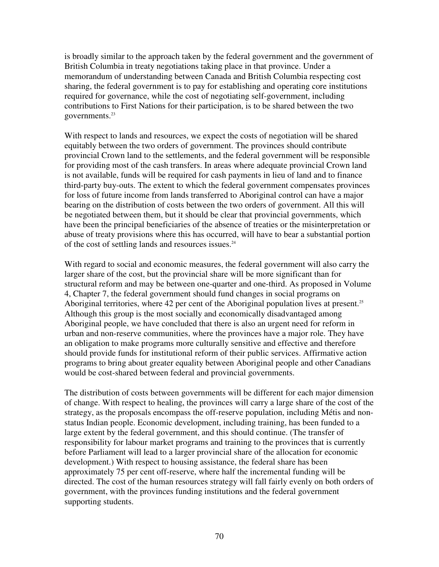is broadly similar to the approach taken by the federal government and the government of British Columbia in treaty negotiations taking place in that province. Under a memorandum of understanding between Canada and British Columbia respecting cost sharing, the federal government is to pay for establishing and operating core institutions required for governance, while the cost of negotiating self-government, including contributions to First Nations for their participation, is to be shared between the two governments. 23

With respect to lands and resources, we expect the costs of negotiation will be shared equitably between the two orders of government. The provinces should contribute provincial Crown land to the settlements, and the federal government will be responsible for providing most of the cash transfers. In areas where adequate provincial Crown land is not available, funds will be required for cash payments in lieu of land and to finance third-party buy-outs. The extent to which the federal government compensates provinces for loss of future income from lands transferred to Aboriginal control can have a major bearing on the distribution of costs between the two orders of government. All this will be negotiated between them, but it should be clear that provincial governments, which have been the principal beneficiaries of the absence of treaties or the misinterpretation or abuse of treaty provisions where this has occurred, will have to bear a substantial portion of the cost of settling lands and resources issues.<sup>24</sup>

With regard to social and economic measures, the federal government will also carry the larger share of the cost, but the provincial share will be more significant than for structural reform and may be between one-quarter and one-third. As proposed in Volume 4, Chapter 7, the federal government should fund changes in social programs on Aboriginal territories, where 42 per cent of the Aboriginal population lives at present.<sup>25</sup> Although this group is the most socially and economically disadvantaged among Aboriginal people, we have concluded that there is also an urgent need for reform in urban and non-reserve communities, where the provinces have a major role. They have an obligation to make programs more culturally sensitive and effective and therefore should provide funds for institutional reform of their public services. Affirmative action programs to bring about greater equality between Aboriginal people and other Canadians would be cost-shared between federal and provincial governments.

The distribution of costs between governments will be different for each major dimension of change. With respect to healing, the provinces will carry a large share of the cost of the strategy, as the proposals encompass the off-reserve population, including Métis and nonstatus Indian people. Economic development, including training, has been funded to a large extent by the federal government, and this should continue. (The transfer of responsibility for labour market programs and training to the provinces that is currently before Parliament will lead to a larger provincial share of the allocation for economic development.) With respect to housing assistance, the federal share has been approximately 75 per cent off-reserve, where half the incremental funding will be directed. The cost of the human resources strategy will fall fairly evenly on both orders of government, with the provinces funding institutions and the federal government supporting students.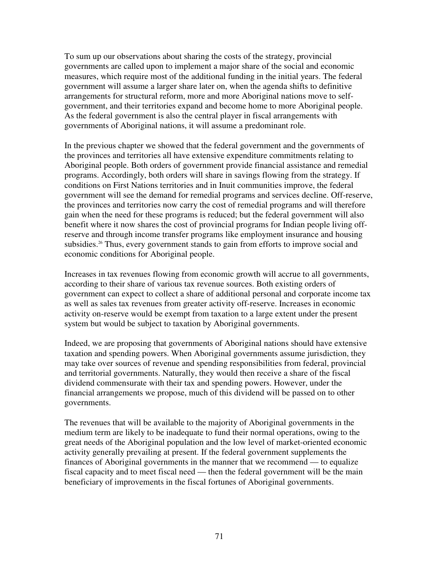To sum up our observations about sharing the costs of the strategy, provincial governments are called upon to implement a major share of the social and economic measures, which require most of the additional funding in the initial years. The federal government will assume a larger share later on, when the agenda shifts to definitive arrangements for structural reform, more and more Aboriginal nations move to selfgovernment, and their territories expand and become home to more Aboriginal people. As the federal government is also the central player in fiscal arrangements with governments of Aboriginal nations, it will assume a predominant role.

In the previous chapter we showed that the federal government and the governments of the provinces and territories all have extensive expenditure commitments relating to Aboriginal people. Both orders of government provide financial assistance and remedial programs. Accordingly, both orders will share in savings flowing from the strategy. If conditions on First Nations territories and in Inuit communities improve, the federal government will see the demand for remedial programs and services decline. Off-reserve, the provinces and territories now carry the cost of remedial programs and will therefore gain when the need for these programs is reduced; but the federal government will also benefit where it now shares the cost of provincial programs for Indian people living offreserve and through income transfer programs like employment insurance and housing subsidies.<sup>26</sup> Thus, every government stands to gain from efforts to improve social and economic conditions for Aboriginal people.

Increases in tax revenues flowing from economic growth will accrue to all governments, according to their share of various tax revenue sources. Both existing orders of government can expect to collect a share of additional personal and corporate income tax as well as sales tax revenues from greater activity off-reserve. Increases in economic activity on-reserve would be exempt from taxation to a large extent under the present system but would be subject to taxation by Aboriginal governments.

Indeed, we are proposing that governments of Aboriginal nations should have extensive taxation and spending powers. When Aboriginal governments assume jurisdiction, they may take over sources of revenue and spending responsibilities from federal, provincial and territorial governments. Naturally, they would then receive a share of the fiscal dividend commensurate with their tax and spending powers. However, under the financial arrangements we propose, much of this dividend will be passed on to other governments.

The revenues that will be available to the majority of Aboriginal governments in the medium term are likely to be inadequate to fund their normal operations, owing to the great needs of the Aboriginal population and the low level of market-oriented economic activity generally prevailing at present. If the federal government supplements the finances of Aboriginal governments in the manner that we recommend — to equalize fiscal capacity and to meet fiscal need — then the federal government will be the main beneficiary of improvements in the fiscal fortunes of Aboriginal governments.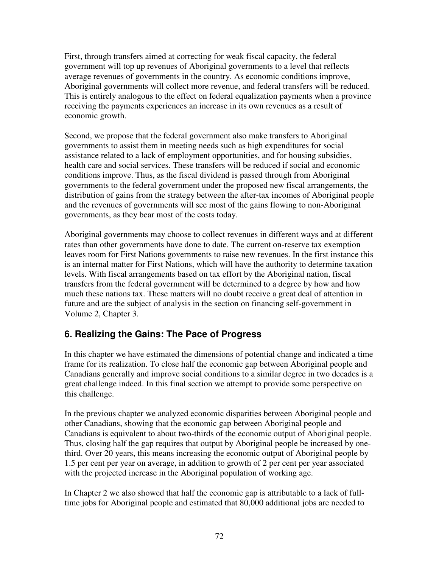First, through transfers aimed at correcting for weak fiscal capacity, the federal government will top up revenues of Aboriginal governments to a level that reflects average revenues of governments in the country. As economic conditions improve, Aboriginal governments will collect more revenue, and federal transfers will be reduced. This is entirely analogous to the effect on federal equalization payments when a province receiving the payments experiences an increase in its own revenues as a result of economic growth.

Second, we propose that the federal government also make transfers to Aboriginal governments to assist them in meeting needs such as high expenditures for social assistance related to a lack of employment opportunities, and for housing subsidies, health care and social services. These transfers will be reduced if social and economic conditions improve. Thus, as the fiscal dividend is passed through from Aboriginal governments to the federal government under the proposed new fiscal arrangements, the distribution of gains from the strategy between the after-tax incomes of Aboriginal people and the revenues of governments will see most of the gains flowing to non-Aboriginal governments, as they bear most of the costs today.

Aboriginal governments may choose to collect revenues in different ways and at different rates than other governments have done to date. The current on-reserve tax exemption leaves room for First Nations governments to raise new revenues. In the first instance this is an internal matter for First Nations, which will have the authority to determine taxation levels. With fiscal arrangements based on tax effort by the Aboriginal nation, fiscal transfers from the federal government will be determined to a degree by how and how much these nations tax. These matters will no doubt receive a great deal of attention in future and are the subject of analysis in the section on financing self-government in Volume 2, Chapter 3.

# **6. Realizing the Gains: The Pace of Progress**

In this chapter we have estimated the dimensions of potential change and indicated a time frame for its realization. To close half the economic gap between Aboriginal people and Canadians generally and improve social conditions to a similar degree in two decades is a great challenge indeed. In this final section we attempt to provide some perspective on this challenge.

In the previous chapter we analyzed economic disparities between Aboriginal people and other Canadians, showing that the economic gap between Aboriginal people and Canadians is equivalent to about two-thirds of the economic output of Aboriginal people. Thus, closing half the gap requires that output by Aboriginal people be increased by onethird. Over 20 years, this means increasing the economic output of Aboriginal people by 1.5 per cent per year on average, in addition to growth of 2 per cent per year associated with the projected increase in the Aboriginal population of working age.

In Chapter 2 we also showed that half the economic gap is attributable to a lack of fulltime jobs for Aboriginal people and estimated that 80,000 additional jobs are needed to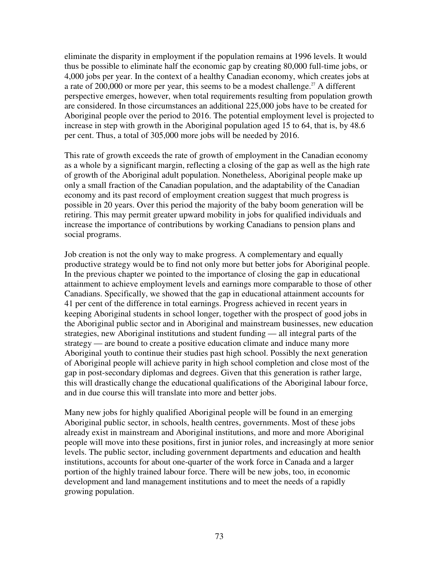eliminate the disparity in employment if the population remains at 1996 levels. It would thus be possible to eliminate half the economic gap by creating 80,000 full-time jobs, or 4,000 jobs per year. In the context of a healthy Canadian economy, which creates jobs at a rate of 200,000 or more per year, this seems to be a modest challenge.<sup>27</sup> A different perspective emerges, however, when total requirements resulting from population growth are considered. In those circumstances an additional 225,000 jobs have to be created for Aboriginal people over the period to 2016. The potential employment level is projected to increase in step with growth in the Aboriginal population aged 15 to 64, that is, by 48.6 per cent. Thus, a total of 305,000 more jobs will be needed by 2016.

This rate of growth exceeds the rate of growth of employment in the Canadian economy as a whole by a significant margin, reflecting a closing of the gap as well as the high rate of growth of the Aboriginal adult population. Nonetheless, Aboriginal people make up only a small fraction of the Canadian population, and the adaptability of the Canadian economy and its past record of employment creation suggest that much progress is possible in 20 years. Over this period the majority of the baby boom generation will be retiring. This may permit greater upward mobility in jobs for qualified individuals and increase the importance of contributions by working Canadians to pension plans and social programs.

Job creation is not the only way to make progress. A complementary and equally productive strategy would be to find not only more but better jobs for Aboriginal people. In the previous chapter we pointed to the importance of closing the gap in educational attainment to achieve employment levels and earnings more comparable to those of other Canadians. Specifically, we showed that the gap in educational attainment accounts for 41 per cent of the difference in total earnings. Progress achieved in recent years in keeping Aboriginal students in school longer, together with the prospect of good jobs in the Aboriginal public sector and in Aboriginal and mainstream businesses, new education strategies, new Aboriginal institutions and student funding — all integral parts of the strategy — are bound to create a positive education climate and induce many more Aboriginal youth to continue their studies past high school. Possibly the next generation of Aboriginal people will achieve parity in high school completion and close most of the gap in post-secondary diplomas and degrees. Given that this generation is rather large, this will drastically change the educational qualifications of the Aboriginal labour force, and in due course this will translate into more and better jobs.

Many new jobs for highly qualified Aboriginal people will be found in an emerging Aboriginal public sector, in schools, health centres, governments. Most of these jobs already exist in mainstream and Aboriginal institutions, and more and more Aboriginal people will move into these positions, first in junior roles, and increasingly at more senior levels. The public sector, including government departments and education and health institutions, accounts for about one-quarter of the work force in Canada and a larger portion of the highly trained labour force. There will be new jobs, too, in economic development and land management institutions and to meet the needs of a rapidly growing population.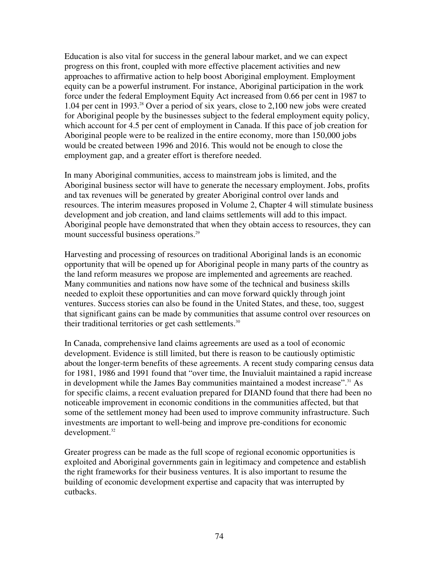Education is also vital for success in the general labour market, and we can expect progress on this front, coupled with more effective placement activities and new approaches to affirmative action to help boost Aboriginal employment. Employment equity can be a powerful instrument. For instance, Aboriginal participation in the work force under the federal Employment Equity Act increased from 0.66 per cent in 1987 to 1.04 per cent in 1993. <sup>28</sup> Over a period of six years, close to 2,100 new jobs were created for Aboriginal people by the businesses subject to the federal employment equity policy, which account for 4.5 per cent of employment in Canada. If this pace of job creation for Aboriginal people were to be realized in the entire economy, more than 150,000 jobs would be created between 1996 and 2016. This would not be enough to close the employment gap, and a greater effort is therefore needed.

In many Aboriginal communities, access to mainstream jobs is limited, and the Aboriginal business sector will have to generate the necessary employment. Jobs, profits and tax revenues will be generated by greater Aboriginal control over lands and resources. The interim measures proposed in Volume 2, Chapter 4 will stimulate business development and job creation, and land claims settlements will add to this impact. Aboriginal people have demonstrated that when they obtain access to resources, they can mount successful business operations.<sup>29</sup>

Harvesting and processing of resources on traditional Aboriginal lands is an economic opportunity that will be opened up for Aboriginal people in many parts of the country as the land reform measures we propose are implemented and agreements are reached. Many communities and nations now have some of the technical and business skills needed to exploit these opportunities and can move forward quickly through joint ventures. Success stories can also be found in the United States, and these, too, suggest that significant gains can be made by communities that assume control over resources on their traditional territories or get cash settlements. 30

In Canada, comprehensive land claims agreements are used as a tool of economic development. Evidence is still limited, but there is reason to be cautiously optimistic about the longer-term benefits of these agreements. A recent study comparing census data for 1981, 1986 and 1991 found that "over time, the Inuvialuit maintained a rapid increase in development while the James Bay communities maintained a modest increase". <sup>31</sup> As for specific claims, a recent evaluation prepared for DIAND found that there had been no noticeable improvement in economic conditions in the communities affected, but that some of the settlement money had been used to improve community infrastructure. Such investments are important to well-being and improve pre-conditions for economic development. 32

Greater progress can be made as the full scope of regional economic opportunities is exploited and Aboriginal governments gain in legitimacy and competence and establish the right frameworks for their business ventures. It is also important to resume the building of economic development expertise and capacity that was interrupted by cutbacks.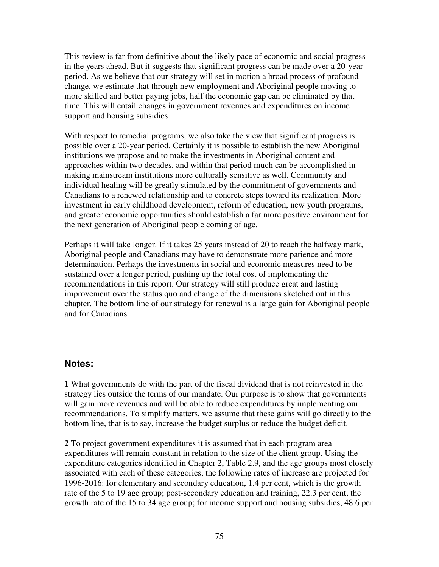This review is far from definitive about the likely pace of economic and social progress in the years ahead. But it suggests that significant progress can be made over a 20-year period. As we believe that our strategy will set in motion a broad process of profound change, we estimate that through new employment and Aboriginal people moving to more skilled and better paying jobs, half the economic gap can be eliminated by that time. This will entail changes in government revenues and expenditures on income support and housing subsidies.

With respect to remedial programs, we also take the view that significant progress is possible over a 20-year period. Certainly it is possible to establish the new Aboriginal institutions we propose and to make the investments in Aboriginal content and approaches within two decades, and within that period much can be accomplished in making mainstream institutions more culturally sensitive as well. Community and individual healing will be greatly stimulated by the commitment of governments and Canadians to a renewed relationship and to concrete steps toward its realization. More investment in early childhood development, reform of education, new youth programs, and greater economic opportunities should establish a far more positive environment for the next generation of Aboriginal people coming of age.

Perhaps it will take longer. If it takes 25 years instead of 20 to reach the halfway mark, Aboriginal people and Canadians may have to demonstrate more patience and more determination. Perhaps the investments in social and economic measures need to be sustained over a longer period, pushing up the total cost of implementing the recommendations in this report. Our strategy will still produce great and lasting improvement over the status quo and change of the dimensions sketched out in this chapter. The bottom line of our strategy for renewal is a large gain for Aboriginal people and for Canadians.

#### **Notes:**

**1** What governments do with the part of the fiscal dividend that is not reinvested in the strategy lies outside the terms of our mandate. Our purpose is to show that governments will gain more revenues and will be able to reduce expenditures by implementing our recommendations. To simplify matters, we assume that these gains will go directly to the bottom line, that is to say, increase the budget surplus or reduce the budget deficit.

**2** To project government expenditures it is assumed that in each program area expenditures will remain constant in relation to the size of the client group. Using the expenditure categories identified in Chapter 2, Table 2.9, and the age groups most closely associated with each of these categories, the following rates of increase are projected for 1996-2016: for elementary and secondary education, 1.4 per cent, which is the growth rate of the 5 to 19 age group; post-secondary education and training, 22.3 per cent, the growth rate of the 15 to 34 age group; for income support and housing subsidies, 48.6 per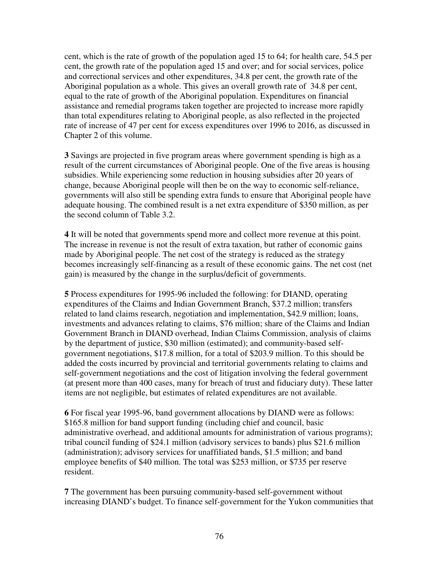cent, which is the rate of growth of the population aged 15 to 64; for health care, 54.5 per cent, the growth rate of the population aged 15 and over; and for social services, police and correctional services and other expenditures, 34.8 per cent, the growth rate of the Aboriginal population as a whole. This gives an overall growth rate of 34.8 per cent, equal to the rate of growth of the Aboriginal population. Expenditures on financial assistance and remedial programs taken together are projected to increase more rapidly than total expenditures relating to Aboriginal people, as also reflected in the projected rate of increase of 47 per cent for excess expenditures over 1996 to 2016, as discussed in Chapter 2 of this volume.

**3** Savings are projected in five program areas where government spending is high as a result of the current circumstances of Aboriginal people. One of the five areas is housing subsidies. While experiencing some reduction in housing subsidies after 20 years of change, because Aboriginal people will then be on the way to economic self-reliance, governments will also still be spending extra funds to ensure that Aboriginal people have adequate housing. The combined result is a net extra expenditure of \$350 million, as per the second column of Table 3.2.

**4** It will be noted that governments spend more and collect more revenue at this point. The increase in revenue is not the result of extra taxation, but rather of economic gains made by Aboriginal people. The net cost of the strategy is reduced as the strategy becomes increasingly self-financing as a result of these economic gains. The net cost (net gain) is measured by the change in the surplus/deficit of governments.

**5** Process expenditures for 1995-96 included the following: for DIAND, operating expenditures of the Claims and Indian Government Branch, \$37.2 million; transfers related to land claims research, negotiation and implementation, \$42.9 million; loans, investments and advances relating to claims, \$76 million; share of the Claims and Indian Government Branch in DIAND overhead, Indian Claims Commission, analysis of claims by the department of justice, \$30 million (estimated); and community-based selfgovernment negotiations, \$17.8 million, for a total of \$203.9 million. To this should be added the costs incurred by provincial and territorial governments relating to claims and self-government negotiations and the cost of litigation involving the federal government (at present more than 400 cases, many for breach of trust and fiduciary duty). These latter items are not negligible, but estimates of related expenditures are not available.

**6** For fiscal year 1995-96, band government allocations by DIAND were as follows: \$165.8 million for band support funding (including chief and council, basic administrative overhead, and additional amounts for administration of various programs); tribal council funding of \$24.1 million (advisory services to bands) plus \$21.6 million (administration); advisory services for unaffiliated bands, \$1.5 million; and band employee benefits of \$40 million. The total was \$253 million, or \$735 per reserve resident.

**7** The government has been pursuing community-based self-government without increasing DIAND's budget. To finance self-government for the Yukon communities that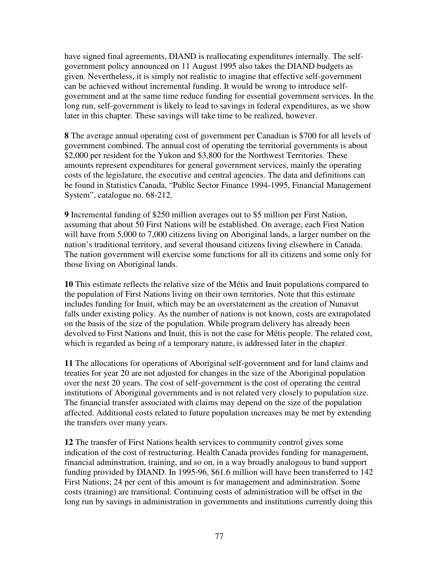have signed final agreements, DIAND is reallocating expenditures internally. The selfgovernment policy announced on 11 August 1995 also takes the DIAND budgets as given. Nevertheless, it is simply not realistic to imagine that effective self-government can be achieved without incremental funding. It would be wrong to introduce selfgovernment and at the same time reduce funding for essential government services. In the long run, self-government is likely to lead to savings in federal expenditures, as we show later in this chapter. These savings will take time to be realized, however.

**8** The average annual operating cost of government per Canadian is \$700 for all levels of government combined. The annual cost of operating the territorial governments is about \$2,000 per resident for the Yukon and \$3,800 for the Northwest Territories. These amounts represent expenditures for general government services, mainly the operating costs of the legislature, the executive and central agencies. The data and definitions can be found in Statistics Canada, "Public Sector Finance 1994-1995, Financial Management System", catalogue no. 68-212.

**9** Incremental funding of \$250 million averages out to \$5 million per First Nation, assuming that about 50 First Nations will be established. On average, each First Nation will have from 5,000 to 7,000 citizens living on Aboriginal lands, a larger number on the nation's traditional territory, and several thousand citizens living elsewhere in Canada. The nation government will exercise some functions for all its citizens and some only for those living on Aboriginal lands.

**10** This estimate reflects the relative size of the Métis and Inuit populations compared to the population of First Nations living on their own territories. Note that this estimate includes funding for Inuit, which may be an overstatement as the creation of Nunavut falls under existing policy. As the number of nations is not known, costs are extrapolated on the basis of the size of the population. While program delivery has already been devolved to First Nations and Inuit, this is not the case for Métis people. The related cost, which is regarded as being of a temporary nature, is addressed later in the chapter.

**11** The allocations for operations of Aboriginal self-government and for land claims and treaties for year 20 are not adjusted for changes in the size of the Aboriginal population over the next 20 years. The cost of self-government is the cost of operating the central institutions of Aboriginal governments and is not related very closely to population size. The financial transfer associated with claims may depend on the size of the population affected. Additional costs related to future population increases may be met by extending the transfers over many years.

**12** The transfer of First Nations health services to community control gives some indication of the cost of restructuring. Health Canada provides funding for management, financial adminstration, training, and so on, in a way broadly analogous to band support funding provided by DIAND. In 1995-96, \$61.6 million will have been transferred to 142 First Nations; 24 per cent of this amount is for management and administration. Some costs (training) are transitional. Continuing costs of administration will be offset in the long run by savings in administration in governments and institutions currently doing this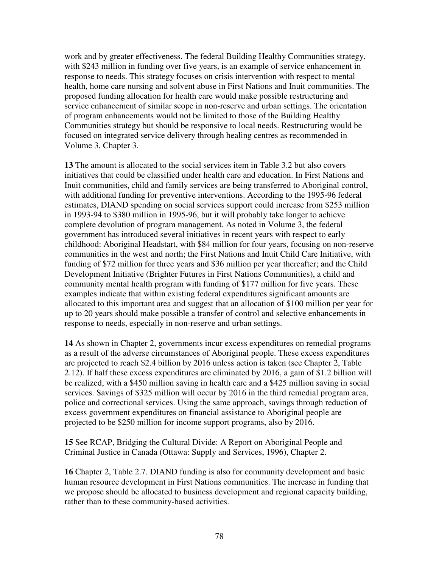work and by greater effectiveness. The federal Building Healthy Communities strategy, with \$243 million in funding over five years, is an example of service enhancement in response to needs. This strategy focuses on crisis intervention with respect to mental health, home care nursing and solvent abuse in First Nations and Inuit communities. The proposed funding allocation for health care would make possible restructuring and service enhancement of similar scope in non-reserve and urban settings. The orientation of program enhancements would not be limited to those of the Building Healthy Communities strategy but should be responsive to local needs. Restructuring would be focused on integrated service delivery through healing centres as recommended in Volume 3, Chapter 3.

**13** The amount is allocated to the social services item in Table 3.2 but also covers initiatives that could be classified under health care and education. In First Nations and Inuit communities, child and family services are being transferred to Aboriginal control, with additional funding for preventive interventions. According to the 1995-96 federal estimates, DIAND spending on social services support could increase from \$253 million in 1993-94 to \$380 million in 1995-96, but it will probably take longer to achieve complete devolution of program management. As noted in Volume 3, the federal government has introduced several initiatives in recent years with respect to early childhood: Aboriginal Headstart, with \$84 million for four years, focusing on non-reserve communities in the west and north; the First Nations and Inuit Child Care Initiative, with funding of \$72 million for three years and \$36 million per year thereafter; and the Child Development Initiative (Brighter Futures in First Nations Communities), a child and community mental health program with funding of \$177 million for five years. These examples indicate that within existing federal expenditures significant amounts are allocated to this important area and suggest that an allocation of \$100 million per year for up to 20 years should make possible a transfer of control and selective enhancements in response to needs, especially in non-reserve and urban settings.

**14** As shown in Chapter 2, governments incur excess expenditures on remedial programs as a result of the adverse circumstances of Aboriginal people. These excess expenditures are projected to reach \$2.4 billion by 2016 unless action is taken (see Chapter 2, Table 2.12). If half these excess expenditures are eliminated by 2016, a gain of \$1.2 billion will be realized, with a \$450 million saving in health care and a \$425 million saving in social services. Savings of \$325 million will occur by 2016 in the third remedial program area, police and correctional services. Using the same approach, savings through reduction of excess government expenditures on financial assistance to Aboriginal people are projected to be \$250 million for income support programs, also by 2016.

**15** See RCAP, Bridging the Cultural Divide: A Report on Aboriginal People and Criminal Justice in Canada (Ottawa: Supply and Services, 1996), Chapter 2.

**16** Chapter 2, Table 2.7. DIAND funding is also for community development and basic human resource development in First Nations communities. The increase in funding that we propose should be allocated to business development and regional capacity building, rather than to these community-based activities.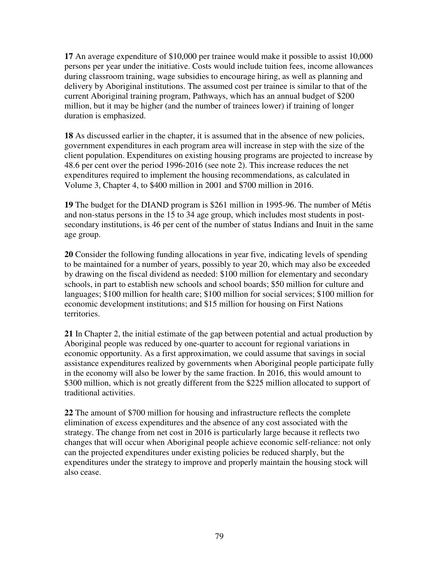**17** An average expenditure of \$10,000 per trainee would make it possible to assist 10,000 persons per year under the initiative. Costs would include tuition fees, income allowances during classroom training, wage subsidies to encourage hiring, as well as planning and delivery by Aboriginal institutions. The assumed cost per trainee is similar to that of the current Aboriginal training program, Pathways, which has an annual budget of \$200 million, but it may be higher (and the number of trainees lower) if training of longer duration is emphasized.

**18** As discussed earlier in the chapter, it is assumed that in the absence of new policies, government expenditures in each program area will increase in step with the size of the client population. Expenditures on existing housing programs are projected to increase by 48.6 per cent over the period 1996-2016 (see note 2). This increase reduces the net expenditures required to implement the housing recommendations, as calculated in Volume 3, Chapter 4, to \$400 million in 2001 and \$700 million in 2016.

**19** The budget for the DIAND program is \$261 million in 1995-96. The number of Métis and non-status persons in the 15 to 34 age group, which includes most students in postsecondary institutions, is 46 per cent of the number of status Indians and Inuit in the same age group.

**20** Consider the following funding allocations in year five, indicating levels of spending to be maintained for a number of years, possibly to year 20, which may also be exceeded by drawing on the fiscal dividend as needed: \$100 million for elementary and secondary schools, in part to establish new schools and school boards; \$50 million for culture and languages; \$100 million for health care; \$100 million for social services; \$100 million for economic development institutions; and \$15 million for housing on First Nations territories.

**21** In Chapter 2, the initial estimate of the gap between potential and actual production by Aboriginal people was reduced by one-quarter to account for regional variations in economic opportunity. As a first approximation, we could assume that savings in social assistance expenditures realized by governments when Aboriginal people participate fully in the economy will also be lower by the same fraction. In 2016, this would amount to \$300 million, which is not greatly different from the \$225 million allocated to support of traditional activities.

**22** The amount of \$700 million for housing and infrastructure reflects the complete elimination of excess expenditures and the absence of any cost associated with the strategy. The change from net cost in 2016 is particularly large because it reflects two changes that will occur when Aboriginal people achieve economic self-reliance: not only can the projected expenditures under existing policies be reduced sharply, but the expenditures under the strategy to improve and properly maintain the housing stock will also cease.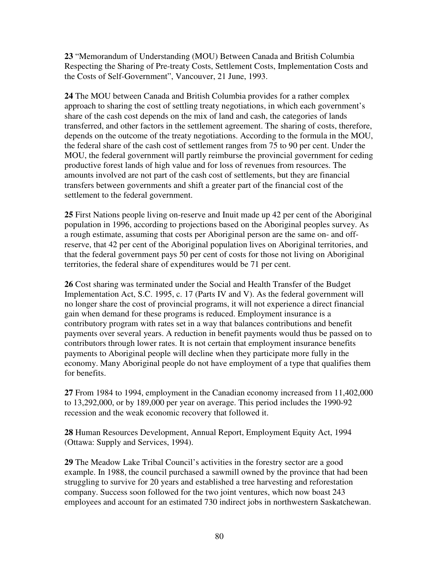**23** "Memorandum of Understanding (MOU) Between Canada and British Columbia Respecting the Sharing of Pre-treaty Costs, Settlement Costs, Implementation Costs and the Costs of Self-Government", Vancouver, 21 June, 1993.

**24** The MOU between Canada and British Columbia provides for a rather complex approach to sharing the cost of settling treaty negotiations, in which each government's share of the cash cost depends on the mix of land and cash, the categories of lands transferred, and other factors in the settlement agreement. The sharing of costs, therefore, depends on the outcome of the treaty negotiations. According to the formula in the MOU, the federal share of the cash cost of settlement ranges from 75 to 90 per cent. Under the MOU, the federal government will partly reimburse the provincial government for ceding productive forest lands of high value and for loss of revenues from resources. The amounts involved are not part of the cash cost of settlements, but they are financial transfers between governments and shift a greater part of the financial cost of the settlement to the federal government.

**25** First Nations people living on-reserve and Inuit made up 42 per cent of the Aboriginal population in 1996, according to projections based on the Aboriginal peoples survey. As a rough estimate, assuming that costs per Aboriginal person are the same on- and offreserve, that 42 per cent of the Aboriginal population lives on Aboriginal territories, and that the federal government pays 50 per cent of costs for those not living on Aboriginal territories, the federal share of expenditures would be 71 per cent.

**26** Cost sharing was terminated under the Social and Health Transfer of the Budget Implementation Act, S.C. 1995, c. 17 (Parts IV and V). As the federal government will no longer share the cost of provincial programs, it will not experience a direct financial gain when demand for these programs is reduced. Employment insurance is a contributory program with rates set in a way that balances contributions and benefit payments over several years. A reduction in benefit payments would thus be passed on to contributors through lower rates. It is not certain that employment insurance benefits payments to Aboriginal people will decline when they participate more fully in the economy. Many Aboriginal people do not have employment of a type that qualifies them for benefits.

**27** From 1984 to 1994, employment in the Canadian economy increased from 11,402,000 to 13,292,000, or by 189,000 per year on average. This period includes the 1990-92 recession and the weak economic recovery that followed it.

**28** Human Resources Development, Annual Report, Employment Equity Act, 1994 (Ottawa: Supply and Services, 1994).

**29** The Meadow Lake Tribal Council's activities in the forestry sector are a good example. In 1988, the council purchased a sawmill owned by the province that had been struggling to survive for 20 years and established a tree harvesting and reforestation company. Success soon followed for the two joint ventures, which now boast 243 employees and account for an estimated 730 indirect jobs in northwestern Saskatchewan.